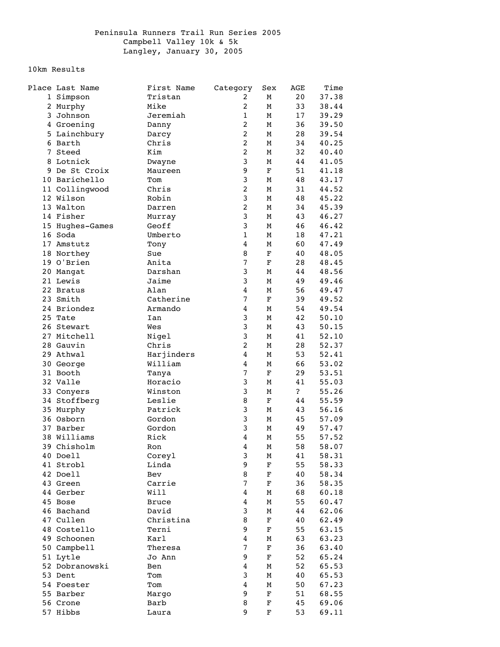## 10km Results

| Place Last Name | First Name   | Category                | Sex         | AGE          | Time  |
|-----------------|--------------|-------------------------|-------------|--------------|-------|
| 1 Simpson       | Tristan      | $\overline{2}$          | М           | 20           | 37.38 |
| 2 Murphy        | Mike         | $\overline{c}$          | М           | 33           | 38.44 |
| 3 Johnson       | Jeremiah     | $\mathbf 1$             | М           | 17           | 39.29 |
| 4 Groening      | Danny        | 2                       | М           | 36           | 39.50 |
| 5 Lainchbury    | Darcy        | $\overline{c}$          | М           | 28           | 39.54 |
| 6 Barth         | Chris        | $\overline{a}$          | М           | 34           | 40.25 |
| 7 Steed         | Kim          | $\overline{c}$          | М           | 32           | 40.40 |
|                 |              |                         |             |              |       |
| 8 Lotnick       | Dwayne       | 3                       | М           | 44           | 41.05 |
| 9 De St Croix   | Maureen      | 9                       | F           | 51           | 41.18 |
| 10 Barichello   | Tom          | 3                       | М           | 48           | 43.17 |
| 11 Collingwood  | Chris        | $\overline{c}$          | М           | 31           | 44.52 |
| 12 Wilson       | Robin        | 3                       | М           | 48           | 45.22 |
| 13 Walton       | Darren       | $\overline{c}$          | М           | 34           | 45.39 |
| 14 Fisher       | Murray       | 3                       | М           | 43           | 46.27 |
| 15 Hughes-Games | Geoff        | 3                       | М           | 46           | 46.42 |
| 16 Soda         | Umberto      | $\mathbf{1}$            | М           | 18           | 47.21 |
| 17 Amstutz      | Tony         | 4                       | М           | 60           | 47.49 |
| 18 Northey      | Sue          | 8                       | $\mathbf F$ | 40           | 48.05 |
| 19 O'Brien      | Anita        | $\sqrt{ }$              | F           | 28           | 48.45 |
| 20 Mangat       | Darshan      | 3                       | М           | 44           | 48.56 |
|                 |              | 3                       |             |              |       |
| 21 Lewis        | Jaime        |                         | М           | 49           | 49.46 |
| 22 Bratus       | Alan         | 4                       | М           | 56           | 49.47 |
| 23 Smith        | Catherine    | $\overline{7}$          | $\mathbf F$ | 39           | 49.52 |
| 24 Briondez     | Armando      | 4                       | М           | 54           | 49.54 |
| 25 Tate         | Ian          | 3                       | М           | 42           | 50.10 |
| 26 Stewart      | Wes          | 3                       | М           | 43           | 50.15 |
| 27 Mitchell     | Nigel        | 3                       | М           | 41           | 52.10 |
| 28 Gauvin       | Chris        | $\overline{c}$          | М           | 28           | 52.37 |
| 29 Athwal       | Harjinders   | 4                       | М           | 53           | 52.41 |
| 30 George       | William      | 4                       | М           | 66           | 53.02 |
| 31 Booth        | Tanya        | $\overline{7}$          | $\mathbf F$ | 29           | 53.51 |
| 32 Valle        | Horacio      | 3                       | М           | 41           | 55.03 |
| 33 Conyers      | Winston      | 3                       | М           | $\mathbf{P}$ | 55.26 |
|                 |              |                         |             |              |       |
| 34 Stoffberg    | Leslie       | 8                       | $\mathbf F$ | 44           | 55.59 |
| 35 Murphy       | Patrick      | 3                       | М           | 43           | 56.16 |
| 36 Osborn       | Gordon       | 3                       | М           | 45           | 57.09 |
| 37 Barber       | Gordon       | 3                       | М           | 49           | 57.47 |
| 38 Williams     | Rick         | 4                       | М           | 55           | 57.52 |
| 39 Chisholm     | Ron          | 4                       | М           | 58           | 58.07 |
| 40 Doell        | Coreyl       | 3                       | М           | 41           | 58.31 |
| 41 Strobl       | Linda        | 9                       | $\mathbf F$ | 55           | 58.33 |
| 42 Doell        | Bev          | 8                       | F           | 40           | 58.34 |
| 43 Green        | Carrie       | 7                       | $\mathbf F$ | 36           | 58.35 |
| 44 Gerber       | Will         | 4                       | М           | 68           | 60.18 |
| 45 Bose         | <b>Bruce</b> | $\overline{\bf 4}$      | М           | 55           | 60.47 |
| 46 Bachand      | David        | 3                       | М           | 44           | 62.06 |
| 47 Cullen       | Christina    | 8                       | $\mathbf F$ |              | 62.49 |
|                 |              |                         |             | 40           |       |
| 48 Costello     | Terni        | 9                       | $\mathbf F$ | 55           | 63.15 |
| 49 Schoonen     | Karl         | 4                       | М           | 63           | 63.23 |
| 50 Campbell     | Theresa      | $\overline{7}$          | $\mathbf F$ | 36           | 63.40 |
| 51 Lytle        | Jo Ann       | 9                       | $\mathbf F$ | 52           | 65.24 |
| 52 Dobranowski  | Ben          | 4                       | М           | 52           | 65.53 |
| 53 Dent         | Tom          | 3                       | М           | 40           | 65.53 |
| 54 Foester      | Tom          | $\overline{\mathbf{4}}$ | М           | 50           | 67.23 |
| 55 Barber       | Margo        | 9                       | $\mathbf F$ | 51           | 68.55 |
| 56 Crone        | Barb         | 8                       | $\mathbf F$ | 45           | 69.06 |
| 57 Hibbs        | Laura        | 9                       | $\mathbf F$ | 53           | 69.11 |
|                 |              |                         |             |              |       |